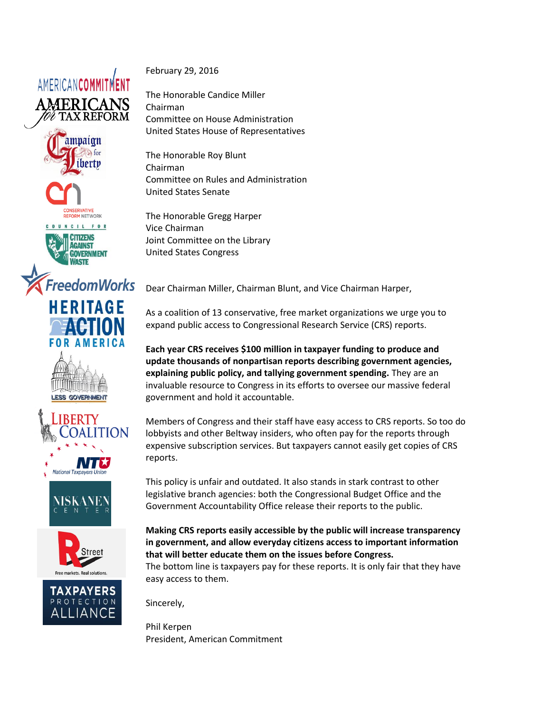













National Taxpavers L





February 29, 2016

The Honorable Candice Miller Chairman Committee on House Administration United States House of Representatives

The Honorable Roy Blunt Chairman Committee on Rules and Administration United States Senate

The Honorable Gregg Harper Vice Chairman Joint Committee on the Library United States Congress

Dear Chairman Miller, Chairman Blunt, and Vice Chairman Harper,

As a coalition of 13 conservative, free market organizations we urge you to expand public access to Congressional Research Service (CRS) reports.

**Each year CRS receives \$100 million in taxpayer funding to produce and update thousands of nonpartisan reports describing government agencies, explaining public policy, and tallying government spending.** They are an invaluable resource to Congress in its efforts to oversee our massive federal government and hold it accountable.

Members of Congress and their staff have easy access to CRS reports. So too do lobbyists and other Beltway insiders, who often pay for the reports through expensive subscription services. But taxpayers cannot easily get copies of CRS reports.

This policy is unfair and outdated. It also stands in stark contrast to other legislative branch agencies: both the Congressional Budget Office and the Government Accountability Office release their reports to the public.

**Making CRS reports easily accessible by the public will increase transparency in government, and allow everyday citizens access to important information that will better educate them on the issues before Congress.**

The bottom line is taxpayers pay for these reports. It is only fair that they have easy access to them.

Sincerely,

Phil Kerpen President, American Commitment